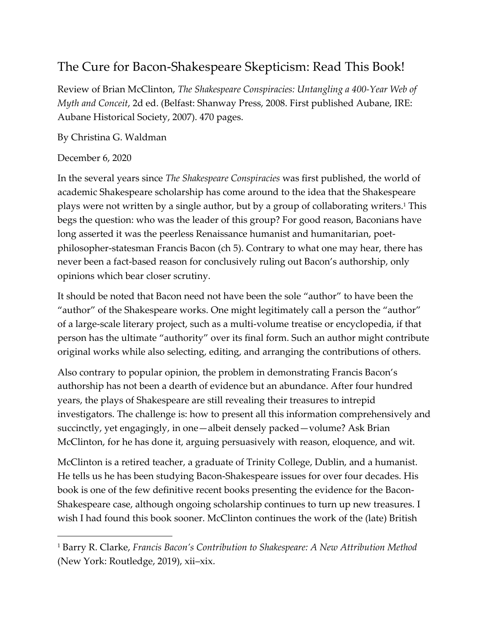## The Cure for Bacon-Shakespeare Skepticism: Read This Book!

Review of Brian McClinton, *The Shakespeare Conspiracies: Untangling a 400-Year Web of Myth and Conceit*, 2d ed. (Belfast: Shanway Press, 2008. First published Aubane, IRE: Aubane Historical Society, 2007). 470 pages.

By Christina G. Waldman

## December 6, 2020

In the several years since *The Shakespeare Conspiracies* was first published, the world of academic Shakespeare scholarship has come around to the idea that the Shakespeare plays were not written by a single author, but by a group of collaborating writers. <sup>1</sup> This begs the question: who was the leader of this group? For good reason, Baconians have long asserted it was the peerless Renaissance humanist and humanitarian, poetphilosopher-statesman Francis Bacon (ch 5). Contrary to what one may hear, there has never been a fact-based reason for conclusively ruling out Bacon's authorship, only opinions which bear closer scrutiny.

It should be noted that Bacon need not have been the sole "author" to have been the "author" of the Shakespeare works. One might legitimately call a person the "author" of a large-scale literary project, such as a multi-volume treatise or encyclopedia, if that person has the ultimate "authority" over its final form. Such an author might contribute original works while also selecting, editing, and arranging the contributions of others.

Also contrary to popular opinion, the problem in demonstrating Francis Bacon's authorship has not been a dearth of evidence but an abundance. After four hundred years, the plays of Shakespeare are still revealing their treasures to intrepid investigators. The challenge is: how to present all this information comprehensively and succinctly, yet engagingly, in one—albeit densely packed—volume? Ask Brian McClinton, for he has done it, arguing persuasively with reason, eloquence, and wit.

McClinton is a retired teacher, a graduate of Trinity College, Dublin, and a humanist. He tells us he has been studying Bacon-Shakespeare issues for over four decades. His book is one of the few definitive recent books presenting the evidence for the Bacon-Shakespeare case, although ongoing scholarship continues to turn up new treasures. I wish I had found this book sooner. McClinton continues the work of the (late) British

<sup>1</sup> Barry R. Clarke, *Francis Bacon's Contribution to Shakespeare: A New Attribution Method*  (New York: Routledge, 2019), xii-xix.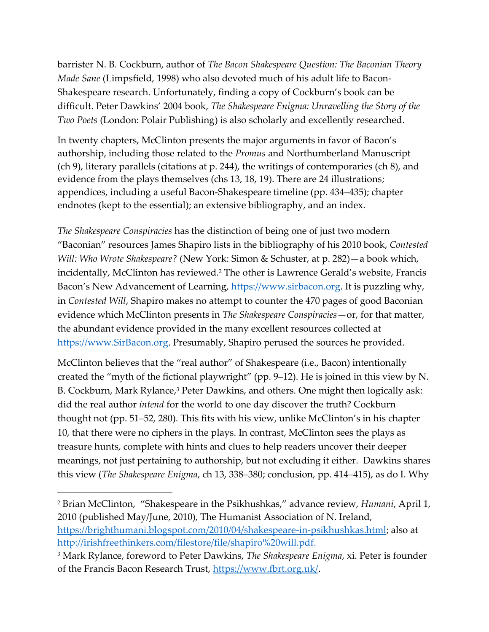barrister N. B. Cockburn, author of *The Bacon Shakespeare Question: The Baconian Theory Made Sane* (Limpsfield, 1998) who also devoted much of his adult life to Bacon-Shakespeare research. Unfortunately, finding a copy of Cockburn's book can be difficult. Peter Dawkins' 2004 book, *The Shakespeare Enigma: Unravelling the Story of the Two Poets* (London: Polair Publishing) is also scholarly and excellently researched.

In twenty chapters, McClinton presents the major arguments in favor of Bacon's authorship, including those related to the *Promus* and Northumberland Manuscript (ch 9), literary parallels (citations at p. 244), the writings of contemporaries (ch 8), and evidence from the plays themselves (chs 13, 18, 19). There are 24 illustrations; appendices, including a useful Bacon-Shakespeare timeline (pp. 434‒435); chapter endnotes (kept to the essential); an extensive bibliography, and an index.

*The Shakespeare Conspiracies* has the distinction of being one of just two modern "Baconian" resources James Shapiro lists in the bibliography of his 2010 book, *Contested Will: Who Wrote Shakespeare?* (New York: Simon & Schuster, at p. 282)—a book which, incidentally, McClinton has reviewed. <sup>2</sup> The other is Lawrence Gerald's website, Francis Bacon's New Advancement of Learning, [https://www.sirbacon.org.](https://www.sirbacon.org/) It is puzzling why, in *Contested Will*, Shapiro makes no attempt to counter the 470 pages of good Baconian evidence which McClinton presents in *The Shakespeare Conspiracies—*or, for that matter, the abundant evidence provided in the many excellent resources collected at [https://www.SirBacon.org.](https://www.sirbacon.org/) Presumably, Shapiro perused the sources he provided.

McClinton believes that the "real author" of Shakespeare (i.e., Bacon) intentionally created the "myth of the fictional playwright" (pp. 9‒12). He is joined in this view by N. B. Cockburn, Mark Rylance, <sup>3</sup> Peter Dawkins, and others. One might then logically ask: did the real author *intend* for the world to one day discover the truth? Cockburn thought not (pp. 51‒52, 280). This fits with his view, unlike McClinton's in his chapter 10, that there were no ciphers in the plays. In contrast, McClinton sees the plays as treasure hunts, complete with hints and clues to help readers uncover their deeper meanings, not just pertaining to authorship, but not excluding it either. Dawkins shares this view (*The Shakespeare Enigma*, ch 13, 338–380; conclusion, pp. 414–415), as do I. Why

<sup>2</sup> Brian McClinton, "Shakespeare in the Psikhushkas," advance review, *Humani*, April 1, 2010 (published May/June, 2010), The Humanist Association of N. Ireland, [https://brighthumani.blogspot.com/2010/04/shakespeare-in-psikhushkas.html;](https://brighthumani.blogspot.com/2010/04/shakespeare-in-psikhushkas.html) also at [http://irishfreethinkers.com/filestore/file/shapiro%20will.pdf.](http://irishfreethinkers.com/filestore/file/shapiro%20will.pdf)

<sup>3</sup> Mark Rylance, foreword to Peter Dawkins, *The Shakespeare Enigma*, xi. Peter is founder of the Francis Bacon Research Trust, [https://www.fbrt.org.uk/.](https://www.fbrt.org.uk/)